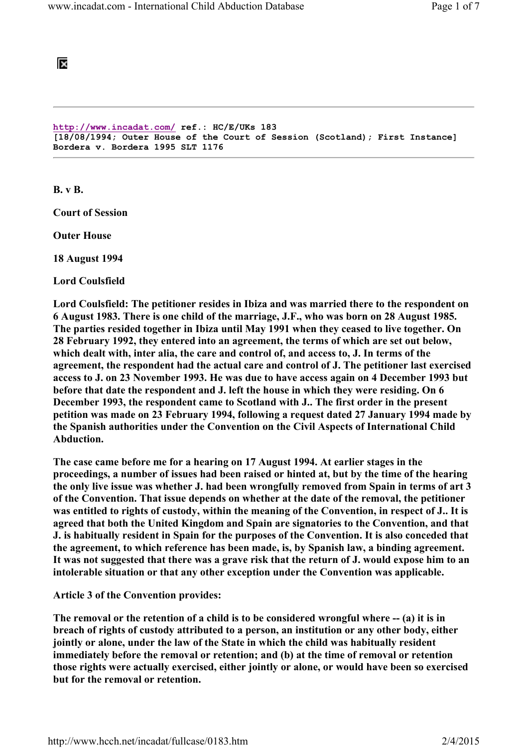## ĪХ

http://www.incadat.com/ ref.: HC/E/UKs 183 [18/08/1994; Outer House of the Court of Session (Scotland); First Instance] Bordera v. Bordera 1995 SLT 1176

B. v B.

Court of Session

Outer House

18 August 1994

Lord Coulsfield

Lord Coulsfield: The petitioner resides in Ibiza and was married there to the respondent on 6 August 1983. There is one child of the marriage, J.F., who was born on 28 August 1985. The parties resided together in Ibiza until May 1991 when they ceased to live together. On 28 February 1992, they entered into an agreement, the terms of which are set out below, which dealt with, inter alia, the care and control of, and access to, J. In terms of the agreement, the respondent had the actual care and control of J. The petitioner last exercised access to J. on 23 November 1993. He was due to have access again on 4 December 1993 but before that date the respondent and J. left the house in which they were residing. On 6 December 1993, the respondent came to Scotland with J.. The first order in the present petition was made on 23 February 1994, following a request dated 27 January 1994 made by the Spanish authorities under the Convention on the Civil Aspects of International Child Abduction.

The case came before me for a hearing on 17 August 1994. At earlier stages in the proceedings, a number of issues had been raised or hinted at, but by the time of the hearing the only live issue was whether J. had been wrongfully removed from Spain in terms of art 3 of the Convention. That issue depends on whether at the date of the removal, the petitioner was entitled to rights of custody, within the meaning of the Convention, in respect of J.. It is agreed that both the United Kingdom and Spain are signatories to the Convention, and that J. is habitually resident in Spain for the purposes of the Convention. It is also conceded that the agreement, to which reference has been made, is, by Spanish law, a binding agreement. It was not suggested that there was a grave risk that the return of J. would expose him to an intolerable situation or that any other exception under the Convention was applicable.

Article 3 of the Convention provides:

The removal or the retention of a child is to be considered wrongful where -- (a) it is in breach of rights of custody attributed to a person, an institution or any other body, either jointly or alone, under the law of the State in which the child was habitually resident immediately before the removal or retention; and (b) at the time of removal or retention those rights were actually exercised, either jointly or alone, or would have been so exercised but for the removal or retention.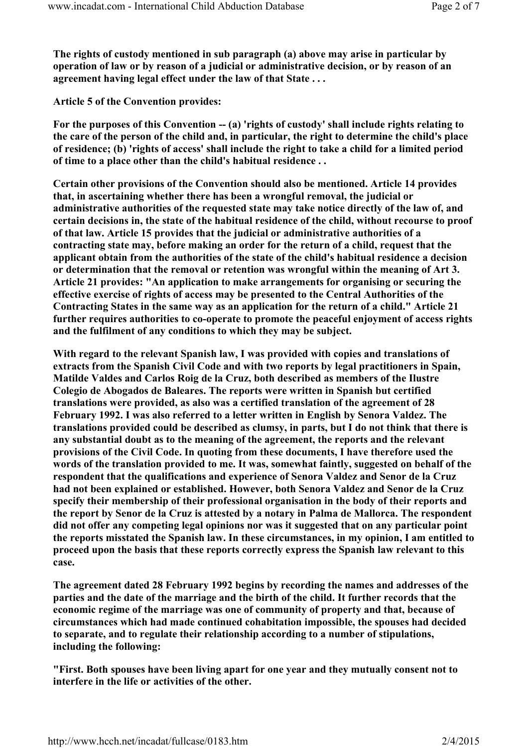The rights of custody mentioned in sub paragraph (a) above may arise in particular by operation of law or by reason of a judicial or administrative decision, or by reason of an agreement having legal effect under the law of that State . . .

Article 5 of the Convention provides:

For the purposes of this Convention  $-$  (a) 'rights of custody' shall include rights relating to the care of the person of the child and, in particular, the right to determine the child's place of residence; (b) 'rights of access' shall include the right to take a child for a limited period of time to a place other than the child's habitual residence . .

Certain other provisions of the Convention should also be mentioned. Article 14 provides that, in ascertaining whether there has been a wrongful removal, the judicial or administrative authorities of the requested state may take notice directly of the law of, and certain decisions in, the state of the habitual residence of the child, without recourse to proof of that law. Article 15 provides that the judicial or administrative authorities of a contracting state may, before making an order for the return of a child, request that the applicant obtain from the authorities of the state of the child's habitual residence a decision or determination that the removal or retention was wrongful within the meaning of Art 3. Article 21 provides: "An application to make arrangements for organising or securing the effective exercise of rights of access may be presented to the Central Authorities of the Contracting States in the same way as an application for the return of a child." Article 21 further requires authorities to co-operate to promote the peaceful enjoyment of access rights and the fulfilment of any conditions to which they may be subject.

With regard to the relevant Spanish law, I was provided with copies and translations of extracts from the Spanish Civil Code and with two reports by legal practitioners in Spain, Matilde Valdes and Carlos Roig de la Cruz, both described as members of the Ilustre Colegio de Abogados de Baleares. The reports were written in Spanish but certified translations were provided, as also was a certified translation of the agreement of 28 February 1992. I was also referred to a letter written in English by Senora Valdez. The translations provided could be described as clumsy, in parts, but I do not think that there is any substantial doubt as to the meaning of the agreement, the reports and the relevant provisions of the Civil Code. In quoting from these documents, I have therefore used the words of the translation provided to me. It was, somewhat faintly, suggested on behalf of the respondent that the qualifications and experience of Senora Valdez and Senor de la Cruz had not been explained or established. However, both Senora Valdez and Senor de la Cruz specify their membership of their professional organisation in the body of their reports and the report by Senor de la Cruz is attested by a notary in Palma de Mallorca. The respondent did not offer any competing legal opinions nor was it suggested that on any particular point the reports misstated the Spanish law. In these circumstances, in my opinion, I am entitled to proceed upon the basis that these reports correctly express the Spanish law relevant to this case.

The agreement dated 28 February 1992 begins by recording the names and addresses of the parties and the date of the marriage and the birth of the child. It further records that the economic regime of the marriage was one of community of property and that, because of circumstances which had made continued cohabitation impossible, the spouses had decided to separate, and to regulate their relationship according to a number of stipulations, including the following:

"First. Both spouses have been living apart for one year and they mutually consent not to interfere in the life or activities of the other.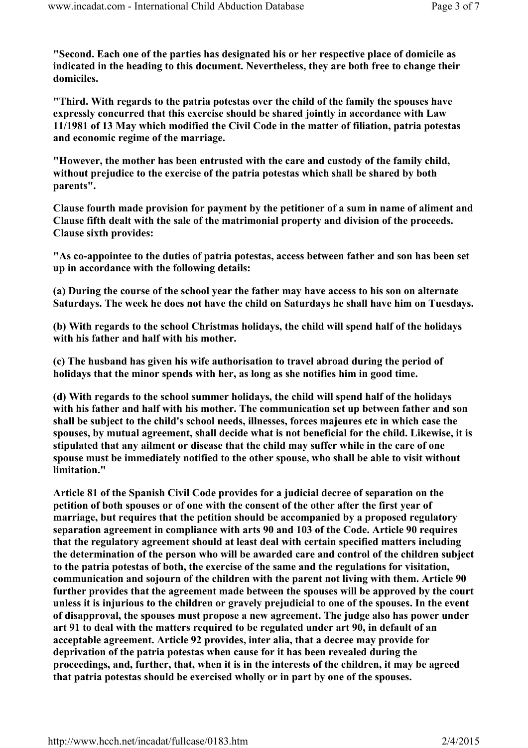"Second. Each one of the parties has designated his or her respective place of domicile as indicated in the heading to this document. Nevertheless, they are both free to change their domiciles.

"Third. With regards to the patria potestas over the child of the family the spouses have expressly concurred that this exercise should be shared jointly in accordance with Law 11/1981 of 13 May which modified the Civil Code in the matter of filiation, patria potestas and economic regime of the marriage.

"However, the mother has been entrusted with the care and custody of the family child, without prejudice to the exercise of the patria potestas which shall be shared by both parents".

Clause fourth made provision for payment by the petitioner of a sum in name of aliment and Clause fifth dealt with the sale of the matrimonial property and division of the proceeds. Clause sixth provides:

"As co-appointee to the duties of patria potestas, access between father and son has been set up in accordance with the following details:

(a) During the course of the school year the father may have access to his son on alternate Saturdays. The week he does not have the child on Saturdays he shall have him on Tuesdays.

(b) With regards to the school Christmas holidays, the child will spend half of the holidays with his father and half with his mother.

(c) The husband has given his wife authorisation to travel abroad during the period of holidays that the minor spends with her, as long as she notifies him in good time.

(d) With regards to the school summer holidays, the child will spend half of the holidays with his father and half with his mother. The communication set up between father and son shall be subject to the child's school needs, illnesses, forces majeures etc in which case the spouses, by mutual agreement, shall decide what is not beneficial for the child. Likewise, it is stipulated that any ailment or disease that the child may suffer while in the care of one spouse must be immediately notified to the other spouse, who shall be able to visit without limitation."

Article 81 of the Spanish Civil Code provides for a judicial decree of separation on the petition of both spouses or of one with the consent of the other after the first year of marriage, but requires that the petition should be accompanied by a proposed regulatory separation agreement in compliance with arts 90 and 103 of the Code. Article 90 requires that the regulatory agreement should at least deal with certain specified matters including the determination of the person who will be awarded care and control of the children subject to the patria potestas of both, the exercise of the same and the regulations for visitation, communication and sojourn of the children with the parent not living with them. Article 90 further provides that the agreement made between the spouses will be approved by the court unless it is injurious to the children or gravely prejudicial to one of the spouses. In the event of disapproval, the spouses must propose a new agreement. The judge also has power under art 91 to deal with the matters required to be regulated under art 90, in default of an acceptable agreement. Article 92 provides, inter alia, that a decree may provide for deprivation of the patria potestas when cause for it has been revealed during the proceedings, and, further, that, when it is in the interests of the children, it may be agreed that patria potestas should be exercised wholly or in part by one of the spouses.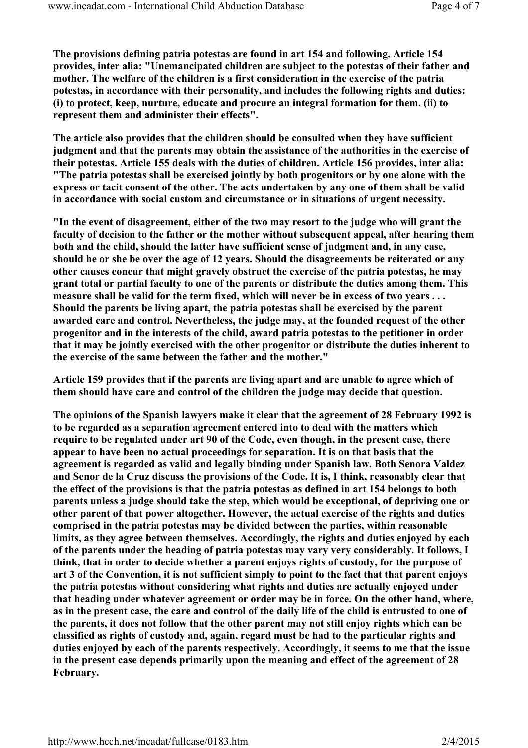The provisions defining patria potestas are found in art 154 and following. Article 154 provides, inter alia: "Unemancipated children are subject to the potestas of their father and mother. The welfare of the children is a first consideration in the exercise of the patria potestas, in accordance with their personality, and includes the following rights and duties: (i) to protect, keep, nurture, educate and procure an integral formation for them. (ii) to represent them and administer their effects".

The article also provides that the children should be consulted when they have sufficient judgment and that the parents may obtain the assistance of the authorities in the exercise of their potestas. Article 155 deals with the duties of children. Article 156 provides, inter alia: "The patria potestas shall be exercised jointly by both progenitors or by one alone with the express or tacit consent of the other. The acts undertaken by any one of them shall be valid in accordance with social custom and circumstance or in situations of urgent necessity.

"In the event of disagreement, either of the two may resort to the judge who will grant the faculty of decision to the father or the mother without subsequent appeal, after hearing them both and the child, should the latter have sufficient sense of judgment and, in any case, should he or she be over the age of 12 years. Should the disagreements be reiterated or any other causes concur that might gravely obstruct the exercise of the patria potestas, he may grant total or partial faculty to one of the parents or distribute the duties among them. This measure shall be valid for the term fixed, which will never be in excess of two years . . . Should the parents be living apart, the patria potestas shall be exercised by the parent awarded care and control. Nevertheless, the judge may, at the founded request of the other progenitor and in the interests of the child, award patria potestas to the petitioner in order that it may be jointly exercised with the other progenitor or distribute the duties inherent to the exercise of the same between the father and the mother."

Article 159 provides that if the parents are living apart and are unable to agree which of them should have care and control of the children the judge may decide that question.

The opinions of the Spanish lawyers make it clear that the agreement of 28 February 1992 is to be regarded as a separation agreement entered into to deal with the matters which require to be regulated under art 90 of the Code, even though, in the present case, there appear to have been no actual proceedings for separation. It is on that basis that the agreement is regarded as valid and legally binding under Spanish law. Both Senora Valdez and Senor de la Cruz discuss the provisions of the Code. It is, I think, reasonably clear that the effect of the provisions is that the patria potestas as defined in art 154 belongs to both parents unless a judge should take the step, which would be exceptional, of depriving one or other parent of that power altogether. However, the actual exercise of the rights and duties comprised in the patria potestas may be divided between the parties, within reasonable limits, as they agree between themselves. Accordingly, the rights and duties enjoyed by each of the parents under the heading of patria potestas may vary very considerably. It follows, I think, that in order to decide whether a parent enjoys rights of custody, for the purpose of art 3 of the Convention, it is not sufficient simply to point to the fact that that parent enjoys the patria potestas without considering what rights and duties are actually enjoyed under that heading under whatever agreement or order may be in force. On the other hand, where, as in the present case, the care and control of the daily life of the child is entrusted to one of the parents, it does not follow that the other parent may not still enjoy rights which can be classified as rights of custody and, again, regard must be had to the particular rights and duties enjoyed by each of the parents respectively. Accordingly, it seems to me that the issue in the present case depends primarily upon the meaning and effect of the agreement of 28 February.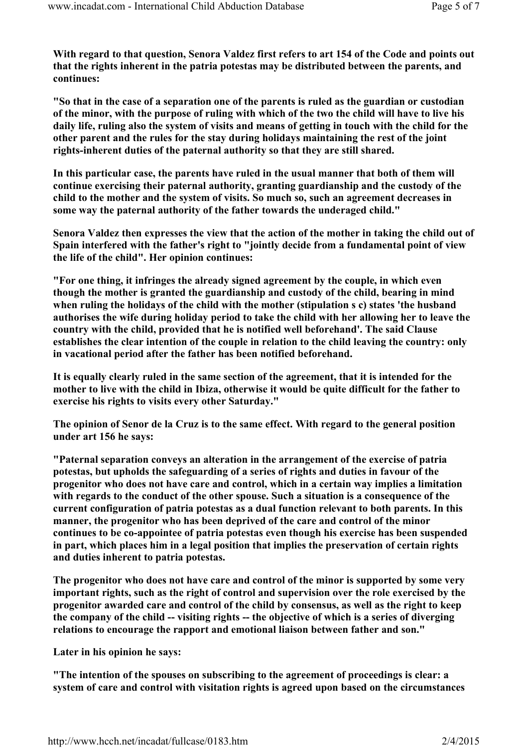With regard to that question, Senora Valdez first refers to art 154 of the Code and points out that the rights inherent in the patria potestas may be distributed between the parents, and continues:

"So that in the case of a separation one of the parents is ruled as the guardian or custodian of the minor, with the purpose of ruling with which of the two the child will have to live his daily life, ruling also the system of visits and means of getting in touch with the child for the other parent and the rules for the stay during holidays maintaining the rest of the joint rights-inherent duties of the paternal authority so that they are still shared.

In this particular case, the parents have ruled in the usual manner that both of them will continue exercising their paternal authority, granting guardianship and the custody of the child to the mother and the system of visits. So much so, such an agreement decreases in some way the paternal authority of the father towards the underaged child."

Senora Valdez then expresses the view that the action of the mother in taking the child out of Spain interfered with the father's right to "jointly decide from a fundamental point of view the life of the child". Her opinion continues:

"For one thing, it infringes the already signed agreement by the couple, in which even though the mother is granted the guardianship and custody of the child, bearing in mind when ruling the holidays of the child with the mother (stipulation s c) states 'the husband authorises the wife during holiday period to take the child with her allowing her to leave the country with the child, provided that he is notified well beforehand'. The said Clause establishes the clear intention of the couple in relation to the child leaving the country: only in vacational period after the father has been notified beforehand.

It is equally clearly ruled in the same section of the agreement, that it is intended for the mother to live with the child in Ibiza, otherwise it would be quite difficult for the father to exercise his rights to visits every other Saturday."

The opinion of Senor de la Cruz is to the same effect. With regard to the general position under art 156 he says:

"Paternal separation conveys an alteration in the arrangement of the exercise of patria potestas, but upholds the safeguarding of a series of rights and duties in favour of the progenitor who does not have care and control, which in a certain way implies a limitation with regards to the conduct of the other spouse. Such a situation is a consequence of the current configuration of patria potestas as a dual function relevant to both parents. In this manner, the progenitor who has been deprived of the care and control of the minor continues to be co-appointee of patria potestas even though his exercise has been suspended in part, which places him in a legal position that implies the preservation of certain rights and duties inherent to patria potestas.

The progenitor who does not have care and control of the minor is supported by some very important rights, such as the right of control and supervision over the role exercised by the progenitor awarded care and control of the child by consensus, as well as the right to keep the company of the child -- visiting rights -- the objective of which is a series of diverging relations to encourage the rapport and emotional liaison between father and son."

Later in his opinion he says:

"The intention of the spouses on subscribing to the agreement of proceedings is clear: a system of care and control with visitation rights is agreed upon based on the circumstances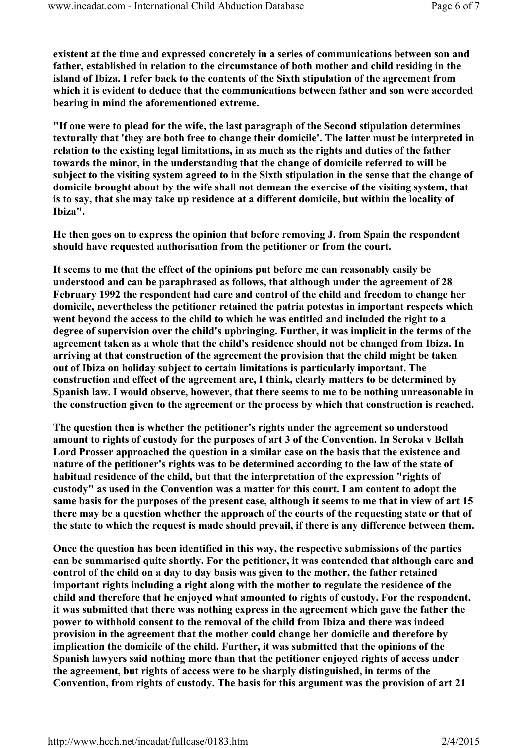existent at the time and expressed concretely in a series of communications between son and father, established in relation to the circumstance of both mother and child residing in the island of Ibiza. I refer back to the contents of the Sixth stipulation of the agreement from which it is evident to deduce that the communications between father and son were accorded bearing in mind the aforementioned extreme.

"If one were to plead for the wife, the last paragraph of the Second stipulation determines texturally that 'they are both free to change their domicile'. The latter must be interpreted in relation to the existing legal limitations, in as much as the rights and duties of the father towards the minor, in the understanding that the change of domicile referred to will be subject to the visiting system agreed to in the Sixth stipulation in the sense that the change of domicile brought about by the wife shall not demean the exercise of the visiting system, that is to say, that she may take up residence at a different domicile, but within the locality of Ibiza".

He then goes on to express the opinion that before removing J. from Spain the respondent should have requested authorisation from the petitioner or from the court.

It seems to me that the effect of the opinions put before me can reasonably easily be understood and can be paraphrased as follows, that although under the agreement of 28 February 1992 the respondent had care and control of the child and freedom to change her domicile, nevertheless the petitioner retained the patria potestas in important respects which went beyond the access to the child to which he was entitled and included the right to a degree of supervision over the child's upbringing. Further, it was implicit in the terms of the agreement taken as a whole that the child's residence should not be changed from Ibiza. In arriving at that construction of the agreement the provision that the child might be taken out of Ibiza on holiday subject to certain limitations is particularly important. The construction and effect of the agreement are, I think, clearly matters to be determined by Spanish law. I would observe, however, that there seems to me to be nothing unreasonable in the construction given to the agreement or the process by which that construction is reached.

The question then is whether the petitioner's rights under the agreement so understood amount to rights of custody for the purposes of art 3 of the Convention. In Seroka v Bellah Lord Prosser approached the question in a similar case on the basis that the existence and nature of the petitioner's rights was to be determined according to the law of the state of habitual residence of the child, but that the interpretation of the expression "rights of custody" as used in the Convention was a matter for this court. I am content to adopt the same basis for the purposes of the present case, although it seems to me that in view of art 15 there may be a question whether the approach of the courts of the requesting state or that of the state to which the request is made should prevail, if there is any difference between them.

Once the question has been identified in this way, the respective submissions of the parties can be summarised quite shortly. For the petitioner, it was contended that although care and control of the child on a day to day basis was given to the mother, the father retained important rights including a right along with the mother to regulate the residence of the child and therefore that he enjoyed what amounted to rights of custody. For the respondent, it was submitted that there was nothing express in the agreement which gave the father the power to withhold consent to the removal of the child from Ibiza and there was indeed provision in the agreement that the mother could change her domicile and therefore by implication the domicile of the child. Further, it was submitted that the opinions of the Spanish lawyers said nothing more than that the petitioner enjoyed rights of access under the agreement, but rights of access were to be sharply distinguished, in terms of the Convention, from rights of custody. The basis for this argument was the provision of art 21